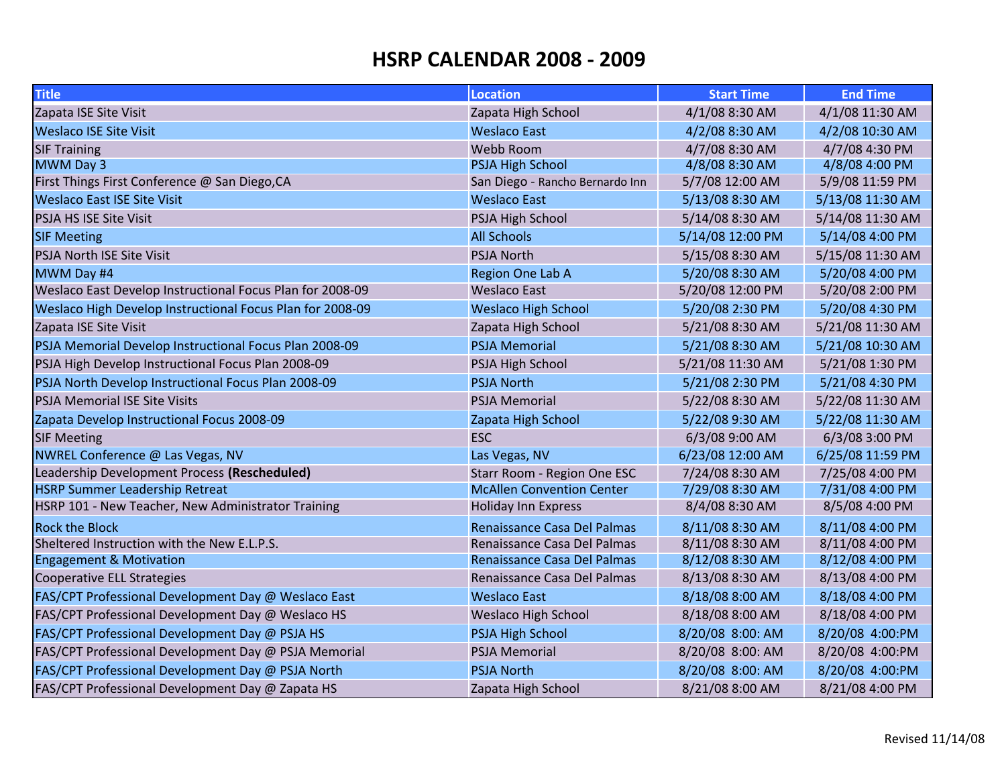| <b>Title</b>                                              | <b>Location</b>                  | <b>Start Time</b> | <b>End Time</b>  |
|-----------------------------------------------------------|----------------------------------|-------------------|------------------|
| Zapata ISE Site Visit                                     | Zapata High School               | 4/1/08 8:30 AM    | 4/1/08 11:30 AM  |
| <b>Weslaco ISE Site Visit</b>                             | <b>Weslaco East</b>              | 4/2/08 8:30 AM    | 4/2/08 10:30 AM  |
| <b>SIF Training</b>                                       | Webb Room                        | 4/7/08 8:30 AM    | 4/7/08 4:30 PM   |
| MWM Day 3                                                 | <b>PSJA High School</b>          | 4/8/08 8:30 AM    | 4/8/08 4:00 PM   |
| First Things First Conference @ San Diego, CA             | San Diego - Rancho Bernardo Inn  | 5/7/08 12:00 AM   | 5/9/08 11:59 PM  |
| <b>Weslaco East ISE Site Visit</b>                        | <b>Weslaco East</b>              | 5/13/08 8:30 AM   | 5/13/08 11:30 AM |
| PSJA HS ISE Site Visit                                    | PSJA High School                 | 5/14/08 8:30 AM   | 5/14/08 11:30 AM |
| <b>SIF Meeting</b>                                        | <b>All Schools</b>               | 5/14/08 12:00 PM  | 5/14/08 4:00 PM  |
| <b>PSJA North ISE Site Visit</b>                          | <b>PSJA North</b>                | 5/15/08 8:30 AM   | 5/15/08 11:30 AM |
| MWM Day #4                                                | Region One Lab A                 | 5/20/08 8:30 AM   | 5/20/08 4:00 PM  |
| Weslaco East Develop Instructional Focus Plan for 2008-09 | <b>Weslaco East</b>              | 5/20/08 12:00 PM  | 5/20/08 2:00 PM  |
| Weslaco High Develop Instructional Focus Plan for 2008-09 | <b>Weslaco High School</b>       | 5/20/08 2:30 PM   | 5/20/08 4:30 PM  |
| Zapata ISE Site Visit                                     | Zapata High School               | 5/21/08 8:30 AM   | 5/21/08 11:30 AM |
| PSJA Memorial Develop Instructional Focus Plan 2008-09    | <b>PSJA Memorial</b>             | 5/21/08 8:30 AM   | 5/21/08 10:30 AM |
| PSJA High Develop Instructional Focus Plan 2008-09        | PSJA High School                 | 5/21/08 11:30 AM  | 5/21/08 1:30 PM  |
| PSJA North Develop Instructional Focus Plan 2008-09       | <b>PSJA North</b>                | 5/21/08 2:30 PM   | 5/21/08 4:30 PM  |
| <b>PSJA Memorial ISE Site Visits</b>                      | <b>PSJA Memorial</b>             | 5/22/08 8:30 AM   | 5/22/08 11:30 AM |
| Zapata Develop Instructional Focus 2008-09                | Zapata High School               | 5/22/08 9:30 AM   | 5/22/08 11:30 AM |
| <b>SIF Meeting</b>                                        | <b>ESC</b>                       | 6/3/08 9:00 AM    | 6/3/08 3:00 PM   |
| NWREL Conference @ Las Vegas, NV                          | Las Vegas, NV                    | 6/23/08 12:00 AM  | 6/25/08 11:59 PM |
| Leadership Development Process (Rescheduled)              | Starr Room - Region One ESC      | 7/24/08 8:30 AM   | 7/25/08 4:00 PM  |
| <b>HSRP Summer Leadership Retreat</b>                     | <b>McAllen Convention Center</b> | 7/29/08 8:30 AM   | 7/31/08 4:00 PM  |
| HSRP 101 - New Teacher, New Administrator Training        | <b>Holiday Inn Express</b>       | 8/4/08 8:30 AM    | 8/5/08 4:00 PM   |
| <b>Rock the Block</b>                                     | Renaissance Casa Del Palmas      | 8/11/08 8:30 AM   | 8/11/08 4:00 PM  |
| Sheltered Instruction with the New E.L.P.S.               | Renaissance Casa Del Palmas      | 8/11/08 8:30 AM   | 8/11/08 4:00 PM  |
| <b>Engagement &amp; Motivation</b>                        | Renaissance Casa Del Palmas      | 8/12/08 8:30 AM   | 8/12/08 4:00 PM  |
| Cooperative ELL Strategies                                | Renaissance Casa Del Palmas      | 8/13/08 8:30 AM   | 8/13/08 4:00 PM  |
| FAS/CPT Professional Development Day @ Weslaco East       | <b>Weslaco East</b>              | 8/18/08 8:00 AM   | 8/18/08 4:00 PM  |
| FAS/CPT Professional Development Day @ Weslaco HS         | <b>Weslaco High School</b>       | 8/18/08 8:00 AM   | 8/18/08 4:00 PM  |
| FAS/CPT Professional Development Day @ PSJA HS            | <b>PSJA High School</b>          | 8/20/08 8:00: AM  | 8/20/08 4:00:PM  |
| FAS/CPT Professional Development Day @ PSJA Memorial      | <b>PSJA Memorial</b>             | 8/20/08 8:00: AM  | 8/20/08 4:00:PM  |
| FAS/CPT Professional Development Day @ PSJA North         | <b>PSJA North</b>                | 8/20/08 8:00: AM  | 8/20/08 4:00:PM  |
| FAS/CPT Professional Development Day @ Zapata HS          | Zapata High School               | 8/21/08 8:00 AM   | 8/21/08 4:00 PM  |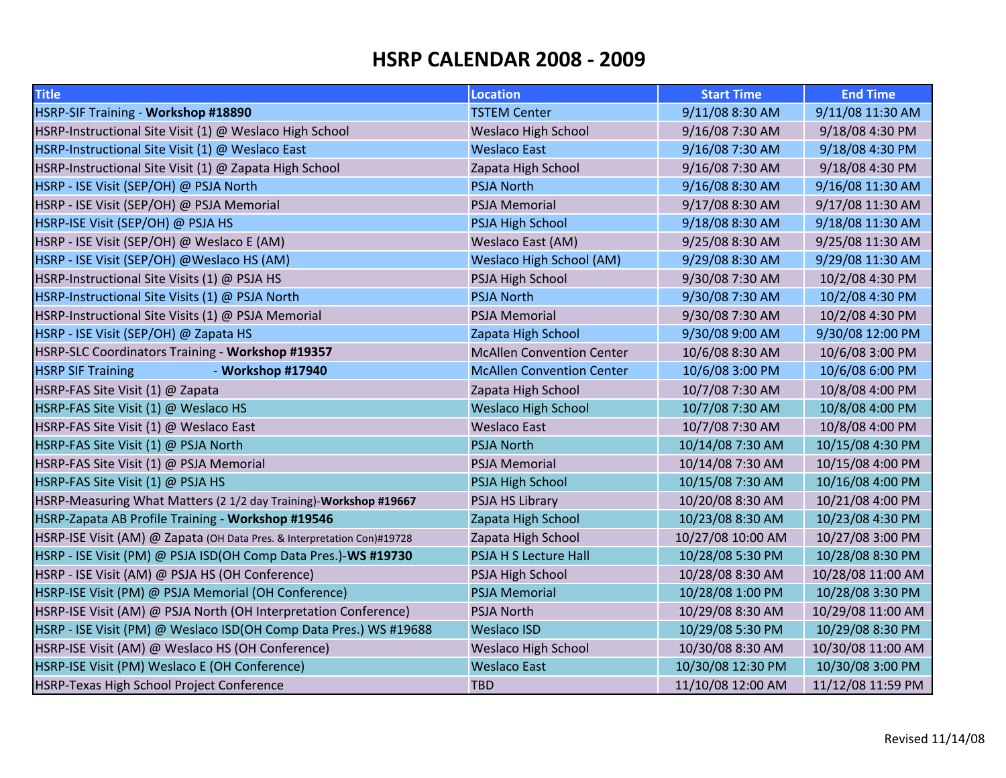| <b>Title</b>                                                            | <b>Location</b>                  | <b>Start Time</b> | <b>End Time</b>   |
|-------------------------------------------------------------------------|----------------------------------|-------------------|-------------------|
| HSRP-SIF Training - Workshop #18890                                     | <b>TSTEM Center</b>              | 9/11/08 8:30 AM   | 9/11/08 11:30 AM  |
| HSRP-Instructional Site Visit (1) @ Weslaco High School                 | <b>Weslaco High School</b>       | 9/16/08 7:30 AM   | 9/18/08 4:30 PM   |
| HSRP-Instructional Site Visit (1) @ Weslaco East                        | <b>Weslaco East</b>              | 9/16/08 7:30 AM   | 9/18/08 4:30 PM   |
| HSRP-Instructional Site Visit (1) @ Zapata High School                  | Zapata High School               | 9/16/08 7:30 AM   | 9/18/08 4:30 PM   |
| HSRP - ISE Visit (SEP/OH) @ PSJA North                                  | <b>PSJA North</b>                | 9/16/08 8:30 AM   | 9/16/08 11:30 AM  |
| HSRP - ISE Visit (SEP/OH) @ PSJA Memorial                               | <b>PSJA Memorial</b>             | 9/17/08 8:30 AM   | 9/17/08 11:30 AM  |
| HSRP-ISE Visit (SEP/OH) @ PSJA HS                                       | <b>PSJA High School</b>          | 9/18/08 8:30 AM   | 9/18/08 11:30 AM  |
| HSRP - ISE Visit (SEP/OH) @ Weslaco E (AM)                              | Weslaco East (AM)                | 9/25/08 8:30 AM   | 9/25/08 11:30 AM  |
| HSRP - ISE Visit (SEP/OH) @Weslaco HS (AM)                              | <b>Weslaco High School (AM)</b>  | 9/29/08 8:30 AM   | 9/29/08 11:30 AM  |
| HSRP-Instructional Site Visits (1) @ PSJA HS                            | PSJA High School                 | 9/30/08 7:30 AM   | 10/2/08 4:30 PM   |
| HSRP-Instructional Site Visits (1) @ PSJA North                         | <b>PSJA North</b>                | 9/30/08 7:30 AM   | 10/2/08 4:30 PM   |
| HSRP-Instructional Site Visits (1) @ PSJA Memorial                      | <b>PSJA Memorial</b>             | 9/30/08 7:30 AM   | 10/2/08 4:30 PM   |
| HSRP - ISE Visit (SEP/OH) @ Zapata HS                                   | Zapata High School               | 9/30/08 9:00 AM   | 9/30/08 12:00 PM  |
| HSRP-SLC Coordinators Training - Workshop #19357                        | <b>McAllen Convention Center</b> | 10/6/08 8:30 AM   | 10/6/08 3:00 PM   |
| - Workshop #17940<br><b>HSRP SIF Training</b>                           | <b>McAllen Convention Center</b> | 10/6/08 3:00 PM   | 10/6/08 6:00 PM   |
| HSRP-FAS Site Visit (1) @ Zapata                                        | Zapata High School               | 10/7/08 7:30 AM   | 10/8/08 4:00 PM   |
| HSRP-FAS Site Visit (1) @ Weslaco HS                                    | <b>Weslaco High School</b>       | 10/7/08 7:30 AM   | 10/8/08 4:00 PM   |
| HSRP-FAS Site Visit (1) @ Weslaco East                                  | <b>Weslaco East</b>              | 10/7/08 7:30 AM   | 10/8/08 4:00 PM   |
| HSRP-FAS Site Visit (1) @ PSJA North                                    | <b>PSJA North</b>                | 10/14/08 7:30 AM  | 10/15/08 4:30 PM  |
| HSRP-FAS Site Visit (1) @ PSJA Memorial                                 | <b>PSJA Memorial</b>             | 10/14/08 7:30 AM  | 10/15/08 4:00 PM  |
| HSRP-FAS Site Visit (1) @ PSJA HS                                       | <b>PSJA High School</b>          | 10/15/08 7:30 AM  | 10/16/08 4:00 PM  |
| HSRP-Measuring What Matters (2 1/2 day Training)-Workshop #19667        | PSJA HS Library                  | 10/20/08 8:30 AM  | 10/21/08 4:00 PM  |
| HSRP-Zapata AB Profile Training - Workshop #19546                       | Zapata High School               | 10/23/08 8:30 AM  | 10/23/08 4:30 PM  |
| HSRP-ISE Visit (AM) @ Zapata (OH Data Pres. & Interpretation Con)#19728 | Zapata High School               | 10/27/08 10:00 AM | 10/27/08 3:00 PM  |
| HSRP - ISE Visit (PM) @ PSJA ISD(OH Comp Data Pres.)-WS #19730          | PSJA H S Lecture Hall            | 10/28/08 5:30 PM  | 10/28/08 8:30 PM  |
| HSRP - ISE Visit (AM) @ PSJA HS (OH Conference)                         | PSJA High School                 | 10/28/08 8:30 AM  | 10/28/08 11:00 AM |
| HSRP-ISE Visit (PM) @ PSJA Memorial (OH Conference)                     | <b>PSJA Memorial</b>             | 10/28/08 1:00 PM  | 10/28/08 3:30 PM  |
| HSRP-ISE Visit (AM) @ PSJA North (OH Interpretation Conference)         | PSJA North                       | 10/29/08 8:30 AM  | 10/29/08 11:00 AM |
| HSRP - ISE Visit (PM) @ Weslaco ISD(OH Comp Data Pres.) WS #19688       | <b>Weslaco ISD</b>               | 10/29/08 5:30 PM  | 10/29/08 8:30 PM  |
| HSRP-ISE Visit (AM) @ Weslaco HS (OH Conference)                        | <b>Weslaco High School</b>       | 10/30/08 8:30 AM  | 10/30/08 11:00 AM |
| HSRP-ISE Visit (PM) Weslaco E (OH Conference)                           | <b>Weslaco East</b>              | 10/30/08 12:30 PM | 10/30/08 3:00 PM  |
| HSRP-Texas High School Project Conference                               | <b>TBD</b>                       | 11/10/08 12:00 AM | 11/12/08 11:59 PM |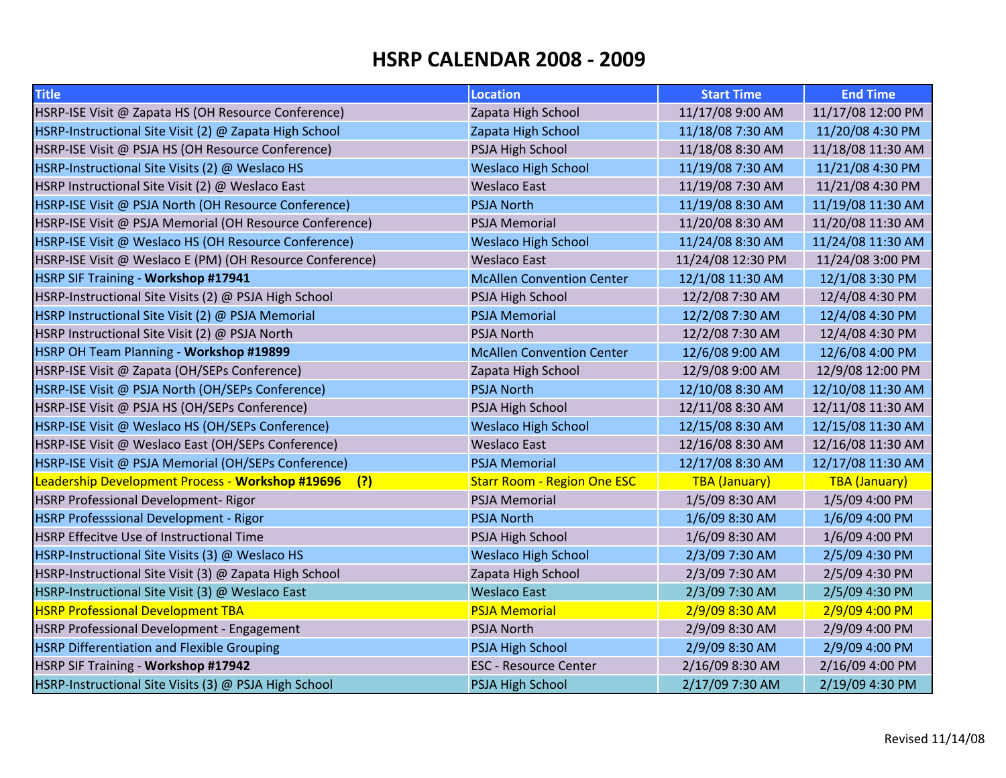| <b>Title</b>                                             | <b>Location</b>                    | <b>Start Time</b>    | <b>End Time</b>      |
|----------------------------------------------------------|------------------------------------|----------------------|----------------------|
| HSRP-ISE Visit @ Zapata HS (OH Resource Conference)      | Zapata High School                 | 11/17/08 9:00 AM     | 11/17/08 12:00 PM    |
| HSRP-Instructional Site Visit (2) @ Zapata High School   | Zapata High School                 | 11/18/08 7:30 AM     | 11/20/08 4:30 PM     |
| HSRP-ISE Visit @ PSJA HS (OH Resource Conference)        | PSJA High School                   | 11/18/08 8:30 AM     | 11/18/08 11:30 AM    |
| HSRP-Instructional Site Visits (2) @ Weslaco HS          | <b>Weslaco High School</b>         | 11/19/08 7:30 AM     | 11/21/08 4:30 PM     |
| HSRP Instructional Site Visit (2) @ Weslaco East         | <b>Weslaco East</b>                | 11/19/08 7:30 AM     | 11/21/08 4:30 PM     |
| HSRP-ISE Visit @ PSJA North (OH Resource Conference)     | <b>PSJA North</b>                  | 11/19/08 8:30 AM     | 11/19/08 11:30 AM    |
| HSRP-ISE Visit @ PSJA Memorial (OH Resource Conference)  | <b>PSJA Memorial</b>               | 11/20/08 8:30 AM     | 11/20/08 11:30 AM    |
| HSRP-ISE Visit @ Weslaco HS (OH Resource Conference)     | <b>Weslaco High School</b>         | 11/24/08 8:30 AM     | 11/24/08 11:30 AM    |
| HSRP-ISE Visit @ Weslaco E (PM) (OH Resource Conference) | <b>Weslaco East</b>                | 11/24/08 12:30 PM    | 11/24/08 3:00 PM     |
| HSRP SIF Training - Workshop #17941                      | <b>McAllen Convention Center</b>   | 12/1/08 11:30 AM     | 12/1/08 3:30 PM      |
| HSRP-Instructional Site Visits (2) @ PSJA High School    | PSJA High School                   | 12/2/08 7:30 AM      | 12/4/08 4:30 PM      |
| HSRP Instructional Site Visit (2) @ PSJA Memorial        | <b>PSJA Memorial</b>               | 12/2/08 7:30 AM      | 12/4/08 4:30 PM      |
| HSRP Instructional Site Visit (2) @ PSJA North           | <b>PSJA North</b>                  | 12/2/08 7:30 AM      | 12/4/08 4:30 PM      |
| HSRP OH Team Planning - Workshop #19899                  | <b>McAllen Convention Center</b>   | 12/6/08 9:00 AM      | 12/6/08 4:00 PM      |
| HSRP-ISE Visit @ Zapata (OH/SEPs Conference)             | Zapata High School                 | 12/9/08 9:00 AM      | 12/9/08 12:00 PM     |
| HSRP-ISE Visit @ PSJA North (OH/SEPs Conference)         | <b>PSJA North</b>                  | 12/10/08 8:30 AM     | 12/10/08 11:30 AM    |
| HSRP-ISE Visit @ PSJA HS (OH/SEPs Conference)            | PSJA High School                   | 12/11/08 8:30 AM     | 12/11/08 11:30 AM    |
| HSRP-ISE Visit @ Weslaco HS (OH/SEPs Conference)         | <b>Weslaco High School</b>         | 12/15/08 8:30 AM     | 12/15/08 11:30 AM    |
| HSRP-ISE Visit @ Weslaco East (OH/SEPs Conference)       | <b>Weslaco East</b>                | 12/16/08 8:30 AM     | 12/16/08 11:30 AM    |
| HSRP-ISE Visit @ PSJA Memorial (OH/SEPs Conference)      | <b>PSJA Memorial</b>               | 12/17/08 8:30 AM     | 12/17/08 11:30 AM    |
| Leadership Development Process - Workshop #19696<br>(?)  | <b>Starr Room - Region One ESC</b> | <b>TBA (January)</b> | <b>TBA</b> (January) |
| <b>HSRP Professional Development- Rigor</b>              | <b>PSJA Memorial</b>               | 1/5/09 8:30 AM       | 1/5/09 4:00 PM       |
| <b>HSRP Professsional Development - Rigor</b>            | <b>PSJA North</b>                  | 1/6/09 8:30 AM       | 1/6/09 4:00 PM       |
| <b>HSRP Effecitve Use of Instructional Time</b>          | PSJA High School                   | 1/6/09 8:30 AM       | 1/6/09 4:00 PM       |
| HSRP-Instructional Site Visits (3) @ Weslaco HS          | <b>Weslaco High School</b>         | 2/3/09 7:30 AM       | 2/5/09 4:30 PM       |
| HSRP-Instructional Site Visit (3) @ Zapata High School   | Zapata High School                 | 2/3/09 7:30 AM       | 2/5/09 4:30 PM       |
| HSRP-Instructional Site Visit (3) @ Weslaco East         | <b>Weslaco East</b>                | 2/3/09 7:30 AM       | 2/5/09 4:30 PM       |
| <b>HSRP Professional Development TBA</b>                 | <b>PSJA Memorial</b>               | 2/9/09 8:30 AM       | 2/9/09 4:00 PM       |
| <b>HSRP Professional Development - Engagement</b>        | <b>PSJA North</b>                  | 2/9/09 8:30 AM       | 2/9/09 4:00 PM       |
| <b>HSRP Differentiation and Flexible Grouping</b>        | <b>PSJA High School</b>            | 2/9/09 8:30 AM       | 2/9/09 4:00 PM       |
| HSRP SIF Training - Workshop #17942                      | <b>ESC - Resource Center</b>       | 2/16/09 8:30 AM      | 2/16/09 4:00 PM      |
| HSRP-Instructional Site Visits (3) @ PSJA High School    | <b>PSJA High School</b>            | 2/17/09 7:30 AM      | 2/19/09 4:30 PM      |